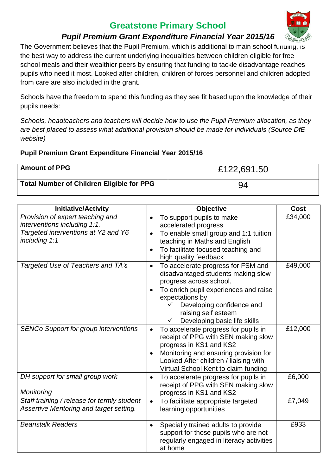# **Greatstone Primary School**



## *Pupil Premium Grant Expenditure Financial Year 2015/16*

The Government believes that the Pupil Premium, which is additional to main school funding, is the best way to address the current underlying inequalities between children eligible for free school meals and their wealthier peers by ensuring that funding to tackle disadvantage reaches pupils who need it most. Looked after children, children of forces personnel and children adopted from care are also included in the grant.

Schools have the freedom to spend this funding as they see fit based upon the knowledge of their pupils needs:

*Schools, headteachers and teachers will decide how to use the Pupil Premium allocation, as they are best placed to assess what additional provision should be made for individuals (Source DfE website)*

#### **Pupil Premium Grant Expenditure Financial Year 2015/16**

| <b>Amount of PPG</b>                             | £122,691.50 |
|--------------------------------------------------|-------------|
| <b>Total Number of Children Eligible for PPG</b> | 94          |

| <b>Initiative/Activity</b>                                                                                               | <b>Objective</b>                                                                                                                                                                                                                                                 | <b>Cost</b> |
|--------------------------------------------------------------------------------------------------------------------------|------------------------------------------------------------------------------------------------------------------------------------------------------------------------------------------------------------------------------------------------------------------|-------------|
| Provision of expert teaching and<br>interventions including 1:1.<br>Targeted interventions at Y2 and Y6<br>including 1:1 | To support pupils to make<br>٠<br>accelerated progress<br>To enable small group and 1:1 tuition<br>$\bullet$<br>teaching in Maths and English<br>To facilitate focused teaching and<br>high quality feedback                                                     | £34,000     |
| Targeted Use of Teachers and TA's                                                                                        | To accelerate progress for FSM and<br>$\bullet$<br>disadvantaged students making slow<br>progress across school.<br>To enrich pupil experiences and raise<br>expectations by<br>Developing confidence and<br>raising self esteem<br>Developing basic life skills | £49,000     |
| <b>SENCo Support for group interventions</b>                                                                             | To accelerate progress for pupils in<br>$\bullet$<br>receipt of PPG with SEN making slow<br>progress in KS1 and KS2<br>Monitoring and ensuring provision for<br>Looked After children / liaising with<br>Virtual School Kent to claim funding                    | £12,000     |
| DH support for small group work<br>Monitoring                                                                            | To accelerate progress for pupils in<br>$\bullet$<br>receipt of PPG with SEN making slow<br>progress in KS1 and KS2                                                                                                                                              | £6,000      |
| Staff training / release for termly student<br>Assertive Mentoring and target setting.                                   | To facilitate appropriate targeted<br>$\bullet$<br>learning opportunities                                                                                                                                                                                        | £7,049      |
| <b>Beanstalk Readers</b>                                                                                                 | Specially trained adults to provide<br>$\bullet$<br>support for those pupils who are not<br>regularly engaged in literacy activities<br>at home                                                                                                                  | £933        |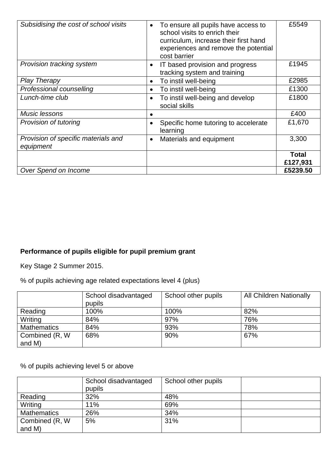| Subsidising the cost of school visits            | To ensure all pupils have access to<br>school visits to enrich their<br>curriculum, increase their first hand<br>experiences and remove the potential<br>cost barrier | £5549                    |
|--------------------------------------------------|-----------------------------------------------------------------------------------------------------------------------------------------------------------------------|--------------------------|
| Provision tracking system                        | IT based provision and progress<br>tracking system and training                                                                                                       | £1945                    |
| <b>Play Therapy</b>                              | To instil well-being                                                                                                                                                  | £2985                    |
| Professional counselling                         | To instil well-being<br>$\bullet$                                                                                                                                     | £1300                    |
| Lunch-time club                                  | To instil well-being and develop<br>social skills                                                                                                                     | £1800                    |
| Music lessons                                    |                                                                                                                                                                       | £400                     |
| Provision of tutoring                            | Specific home tutoring to accelerate<br>learning                                                                                                                      | £1,670                   |
| Provision of specific materials and<br>equipment | Materials and equipment<br>$\bullet$                                                                                                                                  | 3,300                    |
|                                                  |                                                                                                                                                                       | <b>Total</b><br>£127,931 |
| Over Spend on Income                             |                                                                                                                                                                       | £5239.50                 |

## **Performance of pupils eligible for pupil premium grant**

Key Stage 2 Summer 2015.

% of pupils achieving age related expectations level 4 (plus)

|                    | School disadvantaged | School other pupils | <b>All Children Nationally</b> |
|--------------------|----------------------|---------------------|--------------------------------|
|                    | pupils               |                     |                                |
| Reading            | 100%                 | 100%                | 82%                            |
| Writing            | 84%                  | 97%                 | 76%                            |
| <b>Mathematics</b> | 84%                  | 93%                 | 78%                            |
| Combined (R, W)    | 68%                  | 90%                 | 67%                            |
| and M)             |                      |                     |                                |

% of pupils achieving level 5 or above

|                    | School disadvantaged | School other pupils |  |
|--------------------|----------------------|---------------------|--|
|                    | pupils               |                     |  |
| Reading            | 32%                  | 48%                 |  |
| Writing            | 11%                  | 69%                 |  |
| <b>Mathematics</b> | 26%                  | 34%                 |  |
| Combined (R, W)    | 5%                   | 31%                 |  |
| and M)             |                      |                     |  |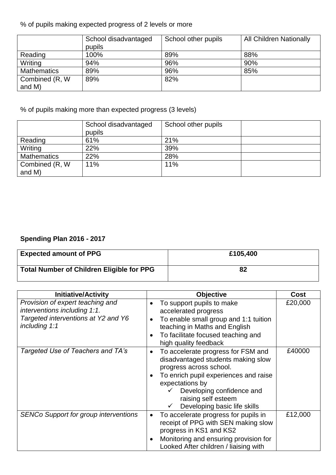% of pupils making expected progress of 2 levels or more

|                    | School disadvantaged | School other pupils | <b>All Children Nationally</b> |
|--------------------|----------------------|---------------------|--------------------------------|
|                    | pupils               |                     |                                |
| Reading            | 100%                 | 89%                 | 88%                            |
| Writing            | 94%                  | 96%                 | 90%                            |
| <b>Mathematics</b> | 89%                  | 96%                 | 85%                            |
| Combined (R, W)    | 89%                  | 82%                 |                                |
| and M)             |                      |                     |                                |

% of pupils making more than expected progress (3 levels)

|                    | School disadvantaged<br>pupils | School other pupils |  |
|--------------------|--------------------------------|---------------------|--|
| Reading            | 61%                            | 21%                 |  |
| Writing            | 22%                            | 39%                 |  |
| <b>Mathematics</b> | 22%                            | 28%                 |  |
| Combined (R, W)    | 11%                            | 11%                 |  |
| and M)             |                                |                     |  |

### **Spending Plan 2016 - 2017**

| <b>Expected amount of PPG</b>                    | £105,400 |
|--------------------------------------------------|----------|
| <b>Total Number of Children Eligible for PPG</b> | 82       |

| <b>Initiative/Activity</b>                                                                                               | <b>Objective</b>                                                                                                                                                                                                                                    | <b>Cost</b> |
|--------------------------------------------------------------------------------------------------------------------------|-----------------------------------------------------------------------------------------------------------------------------------------------------------------------------------------------------------------------------------------------------|-------------|
| Provision of expert teaching and<br>interventions including 1:1.<br>Targeted interventions at Y2 and Y6<br>including 1:1 | To support pupils to make<br>accelerated progress<br>To enable small group and 1:1 tuition<br>teaching in Maths and English<br>To facilitate focused teaching and<br>high quality feedback                                                          | £20,000     |
| Targeted Use of Teachers and TA's                                                                                        | To accelerate progress for FSM and<br>disadvantaged students making slow<br>progress across school.<br>To enrich pupil experiences and raise<br>expectations by<br>Developing confidence and<br>raising self esteem<br>Developing basic life skills | £40000      |
| <b>SENCo Support for group interventions</b>                                                                             | To accelerate progress for pupils in<br>receipt of PPG with SEN making slow<br>progress in KS1 and KS2<br>Monitoring and ensuring provision for<br>Looked After children / liaising with                                                            | £12,000     |